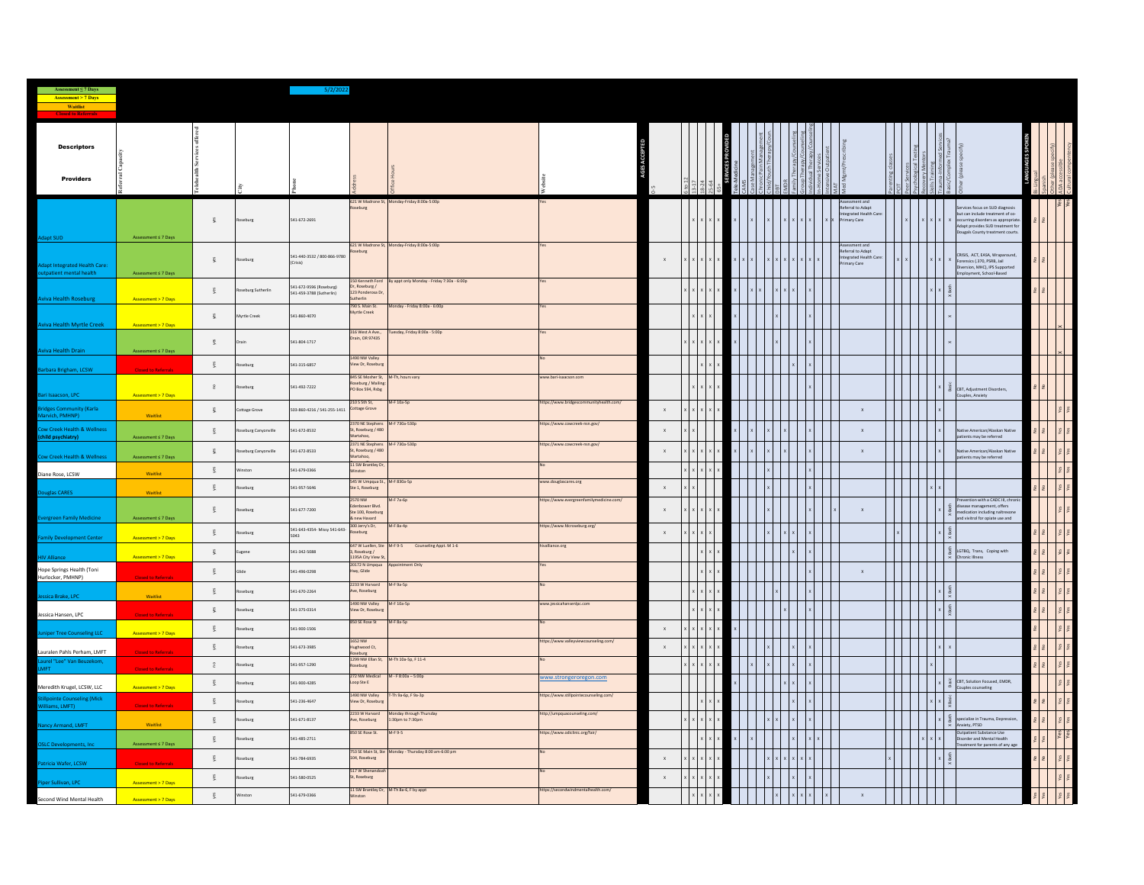| Assessment ≤ 7 Days<br><b>Assessment &gt; 7 Days</b>           |                                 |                      |                    |                                              |                                                              |                                                       |                                         |              |                |               |  |  |  |             |                                         |  |                                                                                                                                                                                                                                                                                                                                                                                                                                                                                                                                                                                             |  |                      |
|----------------------------------------------------------------|---------------------------------|----------------------|--------------------|----------------------------------------------|--------------------------------------------------------------|-------------------------------------------------------|-----------------------------------------|--------------|----------------|---------------|--|--|--|-------------|-----------------------------------------|--|---------------------------------------------------------------------------------------------------------------------------------------------------------------------------------------------------------------------------------------------------------------------------------------------------------------------------------------------------------------------------------------------------------------------------------------------------------------------------------------------------------------------------------------------------------------------------------------------|--|----------------------|
| Waitlist                                                       |                                 |                      |                    |                                              |                                                              |                                                       |                                         |              |                |               |  |  |  |             |                                         |  |                                                                                                                                                                                                                                                                                                                                                                                                                                                                                                                                                                                             |  |                      |
|                                                                |                                 |                      |                    |                                              |                                                              |                                                       |                                         |              |                |               |  |  |  |             |                                         |  |                                                                                                                                                                                                                                                                                                                                                                                                                                                                                                                                                                                             |  |                      |
| <b>Descriptors</b>                                             |                                 |                      |                    |                                              |                                                              |                                                       |                                         |              |                |               |  |  |  |             |                                         |  |                                                                                                                                                                                                                                                                                                                                                                                                                                                                                                                                                                                             |  |                      |
|                                                                |                                 |                      |                    |                                              |                                                              |                                                       |                                         |              |                |               |  |  |  |             |                                         |  |                                                                                                                                                                                                                                                                                                                                                                                                                                                                                                                                                                                             |  |                      |
| <b>Providers</b>                                               |                                 |                      |                    |                                              |                                                              |                                                       |                                         |              |                | $\frac{1}{2}$ |  |  |  |             |                                         |  |                                                                                                                                                                                                                                                                                                                                                                                                                                                                                                                                                                                             |  | E S                  |
|                                                                |                                 |                      |                    |                                              | seburg                                                       | 621 W Madrone St, Monday-Friday 8:00a-5:00p           |                                         |              |                |               |  |  |  |             | sment and<br>Referral to Adapt          |  | vices focus on SUD diagnosis                                                                                                                                                                                                                                                                                                                                                                                                                                                                                                                                                                |  |                      |
|                                                                |                                 | $\frac{3}{2}$        | loseburg           | 541-672-2691                                 |                                                              |                                                       |                                         |              |                |               |  |  |  | <b>To</b> d | Integrated Health Car<br>mary Care      |  | but can include treatment of co-<br>occurring disorders as appropriate<br>Adapt provides SUD treatment for                                                                                                                                                                                                                                                                                                                                                                                                                                                                                  |  |                      |
| Adapt SUD                                                      | Assessment s 7 Days             |                      |                    |                                              |                                                              |                                                       |                                         |              |                |               |  |  |  |             |                                         |  | Dougals County treatment courts.                                                                                                                                                                                                                                                                                                                                                                                                                                                                                                                                                            |  |                      |
|                                                                |                                 | $\tilde{\mathbf{g}}$ |                    | 541-440-3532 / 800-866-9780                  | seburg                                                       | 621 W Madrone St, Monday-Friday 8:00a-5:00p           |                                         |              |                |               |  |  |  |             | ssment and<br>Referral to Adapt         |  | CRISIS, ACT, EASA, Wraparound                                                                                                                                                                                                                                                                                                                                                                                                                                                                                                                                                               |  |                      |
| <b>Adapt Integrated Health Care:</b><br>tpatient mental health | Assessment s 7 Days             |                      | loseburg           |                                              |                                                              |                                                       |                                         | $\mathbf x$  |                |               |  |  |  |             | Integrated Health Care:<br>Primary Care |  | Forensics (.370, PSRB, Jail<br>Diversion, MHC), IPS Supported<br>Employment, School-Based                                                                                                                                                                                                                                                                                                                                                                                                                                                                                                   |  |                      |
|                                                                |                                 | ୁଞ୍                  | eburg Sutherlin    | 541-672-9596 (Roseburg)                      | 50 Kenneth Ford<br>Dr, Roseburg /                            | By appt only Monday - Friday 7:30a - 6:00p            |                                         |              |                |               |  |  |  |             |                                         |  |                                                                                                                                                                                                                                                                                                                                                                                                                                                                                                                                                                                             |  |                      |
| <b>Aviva Health Roseburg</b>                                   | Assessment > 7 Days             |                      |                    | 541-459-3788 (Sutherlin)                     | 123 Ponderosa Dr,<br>therlin<br>790 S. Main St.              | Monday - Friday 8:00a - 6:00p                         |                                         |              |                |               |  |  |  |             |                                         |  |                                                                                                                                                                                                                                                                                                                                                                                                                                                                                                                                                                                             |  |                      |
| <b>Aviva Health Myrtle Creek</b>                               | <b>Assessment &gt; 7 Days</b>   | ୁଞ୍                  | Myrtle Creek       | 541-860-4070                                 | Myrtle Creek                                                 |                                                       |                                         |              |                |               |  |  |  |             |                                         |  |                                                                                                                                                                                                                                                                                                                                                                                                                                                                                                                                                                                             |  |                      |
|                                                                |                                 |                      |                    |                                              | 316 West A Ave.,<br>Drain, OR 97435                          | Tuesday, Friday 8:00a - 5:00p                         |                                         |              |                |               |  |  |  |             |                                         |  |                                                                                                                                                                                                                                                                                                                                                                                                                                                                                                                                                                                             |  |                      |
| Aviva Health Drain                                             | Assessment s 7 Days             | $\frac{5}{2}$        |                    | 541-804-1717                                 |                                                              |                                                       |                                         |              |                |               |  |  |  |             |                                         |  |                                                                                                                                                                                                                                                                                                                                                                                                                                                                                                                                                                                             |  |                      |
| Barbara Brigham, LCSW                                          | <b>Closed to Referrals</b>      | $\frac{36}{2}$       | seburg             | 541-315-6857                                 | 1490 NW Valley<br>View Dr, Roseburg                          |                                                       |                                         |              |                |               |  |  |  |             |                                         |  |                                                                                                                                                                                                                                                                                                                                                                                                                                                                                                                                                                                             |  |                      |
|                                                                |                                 | $\epsilon$           | eburg              | 541-492-7222                                 | 845 SE Mosher St.<br>Roseburg / Mailing:<br>PO Box 594, Rsbg | M-Th, hours vary                                      | ww.bari-isaacson.com                    |              |                |               |  |  |  |             |                                         |  |                                                                                                                                                                                                                                                                                                                                                                                                                                                                                                                                                                                             |  |                      |
| Bari Isaacson, LPC                                             | Assessment > 7 Days             |                      |                    |                                              | 210 S 5th St,                                                | M-F 10a-5p                                            | ttps://www.bridgescommunityhealth.com/  |              |                |               |  |  |  |             |                                         |  | $\begin{tabular}{c} \underline{16} \\ \underline{26} \\ \underline{36} \\ \underline{26} \\ \underline{18} \\ \underline{18} \\ \underline{18} \\ \underline{28} \\ \underline{36} \\ \underline{48} \\ \underline{58} \\ \underline{58} \\ \underline{69} \\ \underline{78} \\ \underline{89} \\ \underline{19} \\ \underline{19} \\ \underline{19} \\ \underline{21} \\ \underline{21} \\ \underline{31} \\ \underline{22} \\ \underline{32} \\ \underline{33} \\ \underline{23} \\ \underline{34} \\ \underline{25} \\ \underline{35} \\ \underline{36} \\ \underline{36} \\ \underline$ |  |                      |
| <b>Bridges Community (Karla</b><br>arvich, PMHNP)              | Waitlist                        | ୁଞ୍                  | ottage Grove       | 503-860-4216 / 541-255-1411 Cottage Grove    |                                                              |                                                       |                                         | $\mathsf X$  |                |               |  |  |  |             | $\mathbf x$                             |  |                                                                                                                                                                                                                                                                                                                                                                                                                                                                                                                                                                                             |  |                      |
| Cow Creek Health & Wellness<br>(child psychiatry)              | Assessment s 7 Days             | ୁଞ୍                  | eburg Canyonville  | 541-672-8532                                 | 2370 NE Stephens<br>St, Roseburg / 480<br>Wartahoo,          | M-F 730a-530p                                         | ttps://www.cowcreek-nsn.gov/            |              | $\mathsf{x}$   |               |  |  |  |             | $\mathbf x$                             |  | tive American/Alaskan Native<br>patients may be referred                                                                                                                                                                                                                                                                                                                                                                                                                                                                                                                                    |  |                      |
|                                                                |                                 | $\frac{36}{2}$       | seburg Canyonville | 541-672-8533                                 | 2371 NE Stephens<br>St, Roseburg / 480<br>Wartahoo,          | M-F 730a-530p                                         | ttps://www.cowcreek-nsn.gov/            |              | $\mathbf x$    |               |  |  |  |             | $\mathbf{x}$                            |  | stive American/Alaskan Native                                                                                                                                                                                                                                                                                                                                                                                                                                                                                                                                                               |  |                      |
| Cow Creek Health & Wellness                                    | Assessment s 7 Days<br>Waitlist | ୁଞ୍                  |                    | 541-679-0366                                 | 11 SW Brantley Dr<br>Winston                                 |                                                       |                                         |              |                |               |  |  |  |             |                                         |  | patients may be referred                                                                                                                                                                                                                                                                                                                                                                                                                                                                                                                                                                    |  |                      |
| Diane Rose, LCSW                                               |                                 | ୁଞ୍                  | oseburg            | 541-957-5646                                 | 545 W Umpqua St., M-F 830a-5p<br>Ste 1, Roseburg             |                                                       | ww.douglascares.org                     |              | $\mathbf x$    |               |  |  |  |             |                                         |  |                                                                                                                                                                                                                                                                                                                                                                                                                                                                                                                                                                                             |  |                      |
| Douglas CARES                                                  | Waitlist                        |                      |                    |                                              | 2570 NW                                                      | M-F 7a-6p                                             | ttps://www.evergreenfamilymedicine.com/ |              |                |               |  |  |  |             |                                         |  | Prevention with a CADC III, chronic                                                                                                                                                                                                                                                                                                                                                                                                                                                                                                                                                         |  |                      |
| <b>Evergreen Family Medicine</b>                               | Assessment s 7 Days             | ୁଞ୍                  | oseburg            | 541-677-7200                                 | enbower Blvd.<br>Ste 100, Roseburg<br>& new Havard           |                                                       |                                         | $\mathbf{x}$ |                |               |  |  |  |             | $\mathbf{x}$                            |  | X-Both<br>disease management, offers<br>medication including naltrexone<br>and vivitrol for opiate use and                                                                                                                                                                                                                                                                                                                                                                                                                                                                                  |  |                      |
| <b>Family Development Center</b>                               | Assessment > 7 Days             | ୁଞ୍                  | eburg              | 541-643-4354- Missy 541-643- 300 Jerry's Dr. |                                                              | M-F 8a-4p                                             | ttps://www.fdcroseburg.org/             |              | $\mathbf{x}$ . |               |  |  |  |             |                                         |  | (80th)                                                                                                                                                                                                                                                                                                                                                                                                                                                                                                                                                                                      |  |                      |
|                                                                |                                 | ୁଞ୍                  |                    | 541-342-5088                                 | 3, Roseburg /                                                | 647 W Luellen, Ste M-F 9-5 Counseling Appt. M 1-6     | alliance.org                            |              |                |               |  |  |  |             |                                         |  | $\begin{tabular}{ c c } \hline $\frac{\epsilon}{2}$ & \cr \hline $8$ & \cr \hline & Chronic illness & \cr \hline \end{tabular}$                                                                                                                                                                                                                                                                                                                                                                                                                                                             |  | Yes                  |
| <b>HIV Alliance</b><br>Hope Springs Health (Toni               | Assessment > 7 Days             |                      |                    |                                              | 1195A City View St,<br>20172 N Umpqua                        | Appointment Only                                      |                                         |              |                |               |  |  |  |             |                                         |  |                                                                                                                                                                                                                                                                                                                                                                                                                                                                                                                                                                                             |  |                      |
| Hurlocker, PMHNP)                                              | <b>Closed to Referrals</b>      | ୁଞ୍                  |                    | 541-496-0298                                 | Hwy, Glide<br>2233 W Harvard                                 | M-F 9a-5p                                             |                                         |              |                |               |  |  |  |             | $\mathbf x$                             |  |                                                                                                                                                                                                                                                                                                                                                                                                                                                                                                                                                                                             |  |                      |
| Jessica Brake, LPC                                             | Waitlist                        | ୁଞ୍                  | eburg              | 541-670-2264                                 | Ave, Roseburg<br>1490 NW Valley                              | M-F 10a-5p                                            | ww.jessicahansenlpc.com                 |              |                | $x \times$    |  |  |  |             |                                         |  | $\times$ Both                                                                                                                                                                                                                                                                                                                                                                                                                                                                                                                                                                               |  | $\mathcal{G}^\prime$ |
| Jessica Hansen, LPC                                            | <b>Closed to Referrals</b>      | ୁଞ୍                  | eburg              | 541-375-0314                                 | View Dr, Roseburg                                            |                                                       |                                         |              |                | $x \times x$  |  |  |  |             |                                         |  | $\times$ 80th                                                                                                                                                                                                                                                                                                                                                                                                                                                                                                                                                                               |  | 18                   |
| <b>Juniper Tree Counseling LLC</b>                             | Assessment > 7 Days             | ୁଞ୍                  | loseburg           | 541-900-1506                                 | 850 SE Rose St                                               | M-F 8a-5p                                             |                                         | $\mathbf x$  |                |               |  |  |  |             |                                         |  |                                                                                                                                                                                                                                                                                                                                                                                                                                                                                                                                                                                             |  | $\frac{1}{2}$        |
| Lauralen Pahls Perham, LMFT                                    | <b>Closed to Referrals</b>      | ୁଞ୍                  | seburg             | 541-673-3985                                 | 1652 NW<br>lughwood Ct,                                      |                                                       | ttps://www.valleyviewcounseling.com/    |              | $\mathbf{x}$   |               |  |  |  |             |                                         |  |                                                                                                                                                                                                                                                                                                                                                                                                                                                                                                                                                                                             |  | $\sqrt{8}$           |
| Laurel "Lee" Van Beuzekom,<br>MFT.                             | <b>Closed to Referrals</b>      | $\epsilon$           | loseburg           | 541-957-1290                                 | Roseburg<br>1299 NW Ellan St,<br>Roseburg                    | M-Th 10a-5p, F 11-4                                   |                                         |              |                | $x \times x$  |  |  |  |             |                                         |  |                                                                                                                                                                                                                                                                                                                                                                                                                                                                                                                                                                                             |  | $\mathcal{L}$        |
|                                                                |                                 | $\mathbb{R}^-$       | seburg             | 541-900-4285                                 | 272 NW Medical<br>Loop Ste E                                 | M - F 8:00a - 5:00p                                   | www.strongeroregon.com                  |              |                |               |  |  |  |             |                                         |  | $\begin{tabular}{c c} $\times$ & $\overset{\mathbb{N}}{\otimes}$ \begin{tabular}{l} \bf CBT, Solution Froused, EMDR, \\ \bf{co} & Couples \textbf{ countelling} \end{tabular} \end{tabular}$                                                                                                                                                                                                                                                                                                                                                                                                |  | $\gamma_{68}$        |
| Meredith Krugel, LCSW, LLC<br>illpointe Counseling (Mick       | Assessment > 7 Days             | ୁଞ୍                  | oseburg            | 541-236-4647                                 | 1490 NW Valley<br>View Dr, Roseburg                          | T-Th 9a-6p, F 9a-3p                                   | ttps://www.stillpointecounseling.com/   |              |                |               |  |  |  |             |                                         |  | $x$ Basic                                                                                                                                                                                                                                                                                                                                                                                                                                                                                                                                                                                   |  | les.                 |
| illiams, LMFT)                                                 | <b>Closed to Referrals</b>      | ୁଞ୍                  |                    | 541-671-8137                                 | 2233 W Harvard                                               | Monday through Thursday<br>1:30pm to 7:30pm           | http://umpquacounseling.com/            |              |                |               |  |  |  |             |                                         |  | $\begin{array}{c}\nX & \text{Both} \\ \hline\n\frac{1}{2} & \frac{10}{2}\n\end{array}$<br>ecialize in Trauma, Depression,                                                                                                                                                                                                                                                                                                                                                                                                                                                                   |  | Yes                  |
| Nancy Armand, LMFT                                             | Waitlist                        |                      | seburg             |                                              | Ave, Roseburg<br>850 SE Rose St.                             | M-F 9-5                                               | ttps://www.odiclinic.org/fair/          |              |                |               |  |  |  |             |                                         |  | wiety, PTSD<br>Outpatient Substance Use                                                                                                                                                                                                                                                                                                                                                                                                                                                                                                                                                     |  | Yes                  |
| <b>OSLC Developments, Inc.</b>                                 | Assessment < 7 Days             | ୍ଥ                   | seburg             | 541-485-2711                                 |                                                              | 753 SE Main St, Ste Monday - Thursday 8:00 am-6:00 pm |                                         |              |                |               |  |  |  |             |                                         |  | sorder and Mental Health<br>eatment for parents of any age                                                                                                                                                                                                                                                                                                                                                                                                                                                                                                                                  |  |                      |
| Patricia Wafer, LCSW                                           | <b>Closed to Referrals</b>      | ୁଞ୍                  | seburg             | 541-784-6935                                 | 104, Roseburg                                                |                                                       |                                         | $\mathsf x$  |                |               |  |  |  |             |                                         |  |                                                                                                                                                                                                                                                                                                                                                                                                                                                                                                                                                                                             |  | Yes                  |
| Piper Sullivan, LPC                                            | Assessment > 7 Days             | ୍ଥ                   | seburg             | 541-580-0525                                 | 517 W Shenand<br>St, Roseburg                                |                                                       |                                         |              | $\mathsf{x}$   |               |  |  |  |             |                                         |  |                                                                                                                                                                                                                                                                                                                                                                                                                                                                                                                                                                                             |  |                      |
| Second Wind Mental Health                                      | Assessment > 7 Days             | ୁଞ୍                  | ston               | 541-679-0366                                 | 11 SW Brantley Dr, M-Th 8a-6, F by appt<br>inston            |                                                       | tps://secondwindmentalhealth.com/       |              |                |               |  |  |  |             | $\mathbf x$                             |  |                                                                                                                                                                                                                                                                                                                                                                                                                                                                                                                                                                                             |  |                      |